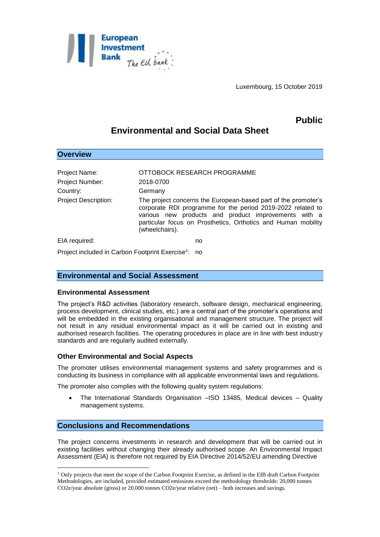

Luxembourg, 15 October 2019

# **Public**

# **Environmental and Social Data Sheet**

| <b>Overview</b>                                     |                                                                                                                                                                                                                                                                          |
|-----------------------------------------------------|--------------------------------------------------------------------------------------------------------------------------------------------------------------------------------------------------------------------------------------------------------------------------|
| Project Name:<br><b>Project Number:</b><br>Country: | OTTOBOCK RESEARCH PROGRAMME<br>2018-0700<br>Germany                                                                                                                                                                                                                      |
| <b>Project Description:</b>                         | The project concerns the European-based part of the promoter's<br>corporate RDI programme for the period 2019-2022 related to<br>various new products and product improvements with a<br>particular focus on Prosthetics, Orthotics and Human mobility<br>(wheelchairs). |
| EIA required:                                       | no                                                                                                                                                                                                                                                                       |
|                                                     |                                                                                                                                                                                                                                                                          |

Project included in Carbon Footprint Exercise<sup>1</sup>: no

## **Environmental and Social Assessment**

#### **Environmental Assessment**

The project's R&D activities (laboratory research, software design, mechanical engineering, process development, clinical studies, etc.) are a central part of the promoter's operations and will be embedded in the existing organisational and management structure. The project will not result in any residual environmental impact as it will be carried out in existing and authorised research facilities. The operating procedures in place are in line with best industry standards and are regularly audited externally.

### **Other Environmental and Social Aspects**

The promoter utilises environmental management systems and safety programmes and is conducting its business in compliance with all applicable environmental laws and regulations.

The promoter also complies with the following quality system regulations:

 The International Standards Organisation –ISO 13485, Medical devices – Quality management systems.

### **Conclusions and Recommendations**

1

The project concerns investments in research and development that will be carried out in existing facilities without changing their already authorised scope. An Environmental Impact Assessment (EIA) is therefore not required by EIA Directive 2014/52/EU amending Directive

<sup>1</sup> Only projects that meet the scope of the Carbon Footprint Exercise, as defined in the EIB draft Carbon Footprint Methodologies, are included, provided estimated emissions exceed the methodology thresholds: 20,000 tonnes CO2e/year absolute (gross) or 20,000 tonnes CO2e/year relative (net) – both increases and savings.